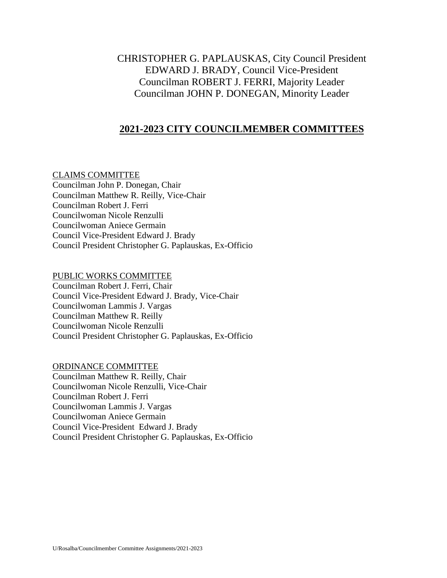# CHRISTOPHER G. PAPLAUSKAS, City Council President EDWARD J. BRADY, Council Vice-President Councilman ROBERT J. FERRI, Majority Leader Councilman JOHN P. DONEGAN, Minority Leader

## **2021-2023 CITY COUNCILMEMBER COMMITTEES**

### CLAIMS COMMITTEE

Councilman John P. Donegan, Chair Councilman Matthew R. Reilly, Vice-Chair Councilman Robert J. Ferri Councilwoman Nicole Renzulli Councilwoman Aniece Germain Council Vice-President Edward J. Brady Council President Christopher G. Paplauskas, Ex-Officio

### PUBLIC WORKS COMMITTEE

Councilman Robert J. Ferri, Chair Council Vice-President Edward J. Brady, Vice-Chair Councilwoman Lammis J. Vargas Councilman Matthew R. Reilly Councilwoman Nicole Renzulli Council President Christopher G. Paplauskas, Ex-Officio

### ORDINANCE COMMITTEE

Councilman Matthew R. Reilly, Chair Councilwoman Nicole Renzulli, Vice-Chair Councilman Robert J. Ferri Councilwoman Lammis J. Vargas Councilwoman Aniece Germain Council Vice-President Edward J. Brady Council President Christopher G. Paplauskas, Ex-Officio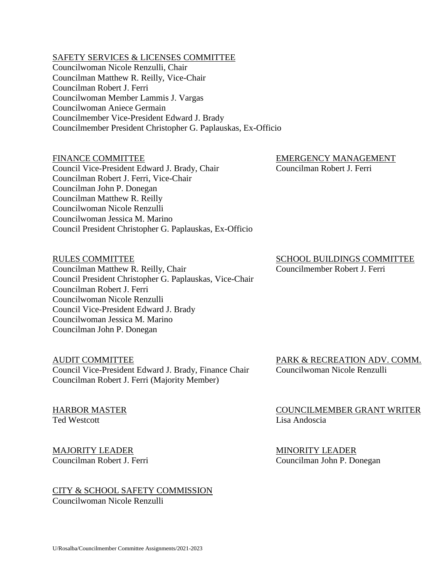### SAFETY SERVICES & LICENSES COMMITTEE

Councilwoman Nicole Renzulli, Chair Councilman Matthew R. Reilly, Vice-Chair Councilman Robert J. Ferri Councilwoman Member Lammis J. Vargas Councilwoman Aniece Germain Councilmember Vice-President Edward J. Brady Councilmember President Christopher G. Paplauskas, Ex-Officio

Council Vice-President Edward J. Brady, Chair Councilman Robert J. Ferri Councilman Robert J. Ferri, Vice-Chair Councilman John P. Donegan Councilman Matthew R. Reilly Councilwoman Nicole Renzulli Councilwoman Jessica M. Marino Council President Christopher G. Paplauskas, Ex-Officio

FINANCE COMMITTEE EXECUTIVE EMERGENCY MANAGEMENT

Councilman Matthew R. Reilly, Chair Councilmember Robert J. Ferri Council President Christopher G. Paplauskas, Vice-Chair Councilman Robert J. Ferri Councilwoman Nicole Renzulli Council Vice-President Edward J. Brady Councilwoman Jessica M. Marino Councilman John P. Donegan

Council Vice-President Edward J. Brady, Finance Chair Councilwoman Nicole Renzulli Councilman Robert J. Ferri (Majority Member)

Ted Westcott **Lisa Andoscia** 

MAJORITY LEADER MINORITY LEADER

# CITY & SCHOOL SAFETY COMMISSION

Councilwoman Nicole Renzulli

RULES COMMITTEE SCHOOL BUILDINGS COMMITTEE

AUDIT COMMITTEE PARK & RECREATION ADV. COMM.

HARBOR MASTER COUNCILMEMBER GRANT WRITER

Councilman Robert J. Ferri Councilman John P. Donegan